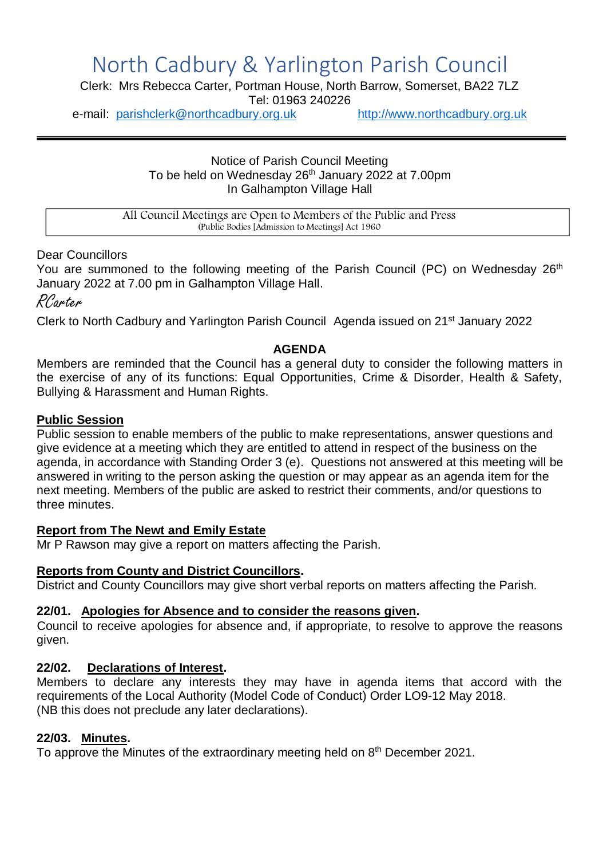# North Cadbury & Yarlington Parish Council

Clerk: Mrs Rebecca Carter, Portman House, North Barrow, Somerset, BA22 7LZ

Tel: 01963 240226

e-mail: [parishclerk@northcadbury.org.uk](mailto:parishclerk@northcadbury.org.uk) [http://www.northcadbury.org.uk](http://www.northcadbury.org.uk/)

Notice of Parish Council Meeting To be held on Wednesday  $26<sup>th</sup>$  January 2022 at 7.00pm In Galhampton Village Hall

All Council Meetings are Open to Members of the Public and Press (Public Bodies [Admission to Meetings] Act 1960

## Dear Councillors

You are summoned to the following meeting of the Parish Council (PC) on Wednesday 26<sup>th</sup> January 2022 at 7.00 pm in Galhampton Village Hall.

RCarter

Clerk to North Cadbury and Yarlington Parish Council Agenda issued on 21st January 2022

## **AGENDA**

Members are reminded that the Council has a general duty to consider the following matters in the exercise of any of its functions: Equal Opportunities, Crime & Disorder, Health & Safety, Bullying & Harassment and Human Rights.

## **Public Session**

Public session to enable members of the public to make representations, answer questions and give evidence at a meeting which they are entitled to attend in respect of the business on the agenda, in accordance with Standing Order 3 (e). Questions not answered at this meeting will be answered in writing to the person asking the question or may appear as an agenda item for the next meeting. Members of the public are asked to restrict their comments, and/or questions to three minutes.

## **Report from The Newt and Emily Estate**

Mr P Rawson may give a report on matters affecting the Parish.

## **Reports from County and District Councillors.**

District and County Councillors may give short verbal reports on matters affecting the Parish.

## **22/01. Apologies for Absence and to consider the reasons given.**

Council to receive apologies for absence and, if appropriate, to resolve to approve the reasons given.

## **22/02. Declarations of Interest.**

Members to declare any interests they may have in agenda items that accord with the requirements of the Local Authority (Model Code of Conduct) Order LO9-12 May 2018. (NB this does not preclude any later declarations).

## **22/03. Minutes.**

To approve the Minutes of the extraordinary meeting held on 8<sup>th</sup> December 2021.